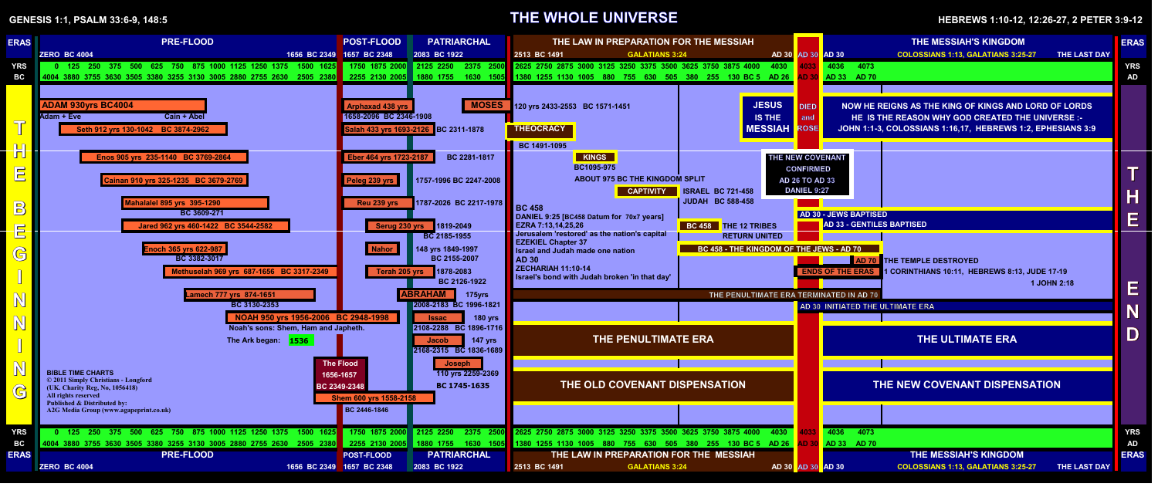# **GENESIS 1:1, PSALM 33:6-9, 148:5 THE WHOLE UNIVERSE HEBREWS 1:10-12, 12:26-27, 2 PETER 3:9-12**